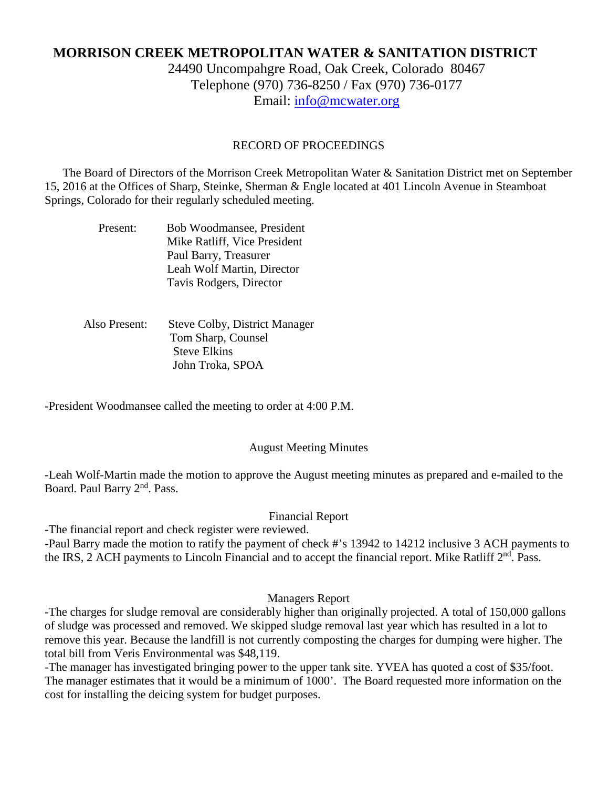# **MORRISON CREEK METROPOLITAN WATER & SANITATION DISTRICT**

24490 Uncompahgre Road, Oak Creek, Colorado 80467 Telephone (970) 736-8250 / Fax (970) 736-0177 Email: [info@mcwater.org](mailto:info@mcwater.org)

# RECORD OF PROCEEDINGS

 The Board of Directors of the Morrison Creek Metropolitan Water & Sanitation District met on September 15, 2016 at the Offices of Sharp, Steinke, Sherman & Engle located at 401 Lincoln Avenue in Steamboat Springs, Colorado for their regularly scheduled meeting.

| Present: | Bob Woodmansee, President    |
|----------|------------------------------|
|          | Mike Ratliff, Vice President |
|          | Paul Barry, Treasurer        |
|          | Leah Wolf Martin, Director   |
|          | Tavis Rodgers, Director      |

 Also Present: Steve Colby, District Manager Tom Sharp, Counsel Steve Elkins John Troka, SPOA

-President Woodmansee called the meeting to order at 4:00 P.M.

### August Meeting Minutes

-Leah Wolf-Martin made the motion to approve the August meeting minutes as prepared and e-mailed to the Board. Paul Barry 2<sup>nd</sup>. Pass.

# Financial Report

-The financial report and check register were reviewed. -Paul Barry made the motion to ratify the payment of check #'s 13942 to 14212 inclusive 3 ACH payments to the IRS, 2 ACH payments to Lincoln Financial and to accept the financial report. Mike Ratliff 2<sup>nd</sup>. Pass.

### Managers Report

-The charges for sludge removal are considerably higher than originally projected. A total of 150,000 gallons of sludge was processed and removed. We skipped sludge removal last year which has resulted in a lot to remove this year. Because the landfill is not currently composting the charges for dumping were higher. The total bill from Veris Environmental was \$48,119.

-The manager has investigated bringing power to the upper tank site. YVEA has quoted a cost of \$35/foot. The manager estimates that it would be a minimum of 1000'. The Board requested more information on the cost for installing the deicing system for budget purposes.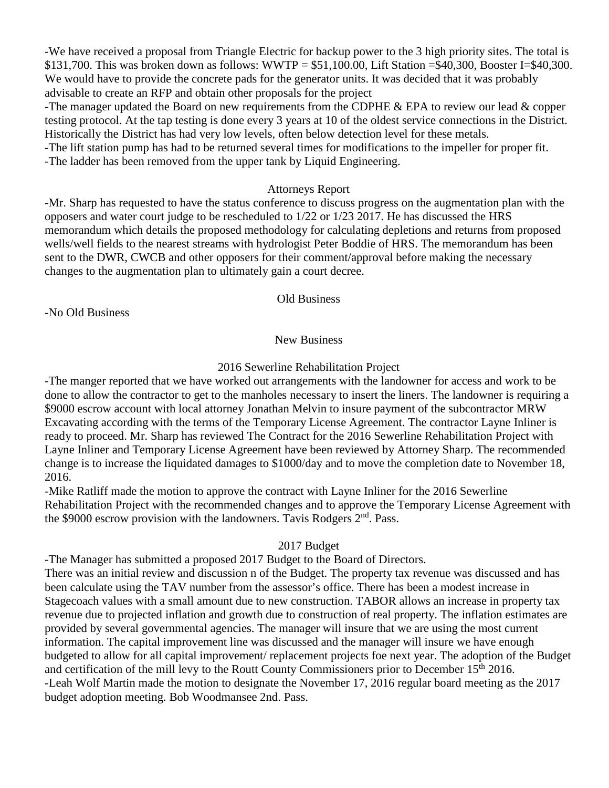-We have received a proposal from Triangle Electric for backup power to the 3 high priority sites. The total is \$131,700. This was broken down as follows: WWTP =  $$51,100.00$ , Lift Station = \$40,300, Booster I= \$40,300. We would have to provide the concrete pads for the generator units. It was decided that it was probably advisable to create an RFP and obtain other proposals for the project

-The manager updated the Board on new requirements from the CDPHE & EPA to review our lead & copper testing protocol. At the tap testing is done every 3 years at 10 of the oldest service connections in the District. Historically the District has had very low levels, often below detection level for these metals.

-The lift station pump has had to be returned several times for modifications to the impeller for proper fit. -The ladder has been removed from the upper tank by Liquid Engineering.

# Attorneys Report

-Mr. Sharp has requested to have the status conference to discuss progress on the augmentation plan with the opposers and water court judge to be rescheduled to 1/22 or 1/23 2017. He has discussed the HRS memorandum which details the proposed methodology for calculating depletions and returns from proposed wells/well fields to the nearest streams with hydrologist Peter Boddie of HRS. The memorandum has been sent to the DWR, CWCB and other opposers for their comment/approval before making the necessary changes to the augmentation plan to ultimately gain a court decree.

#### Old Business

-No Old Business

### New Business

# 2016 Sewerline Rehabilitation Project

-The manger reported that we have worked out arrangements with the landowner for access and work to be done to allow the contractor to get to the manholes necessary to insert the liners. The landowner is requiring a \$9000 escrow account with local attorney Jonathan Melvin to insure payment of the subcontractor MRW Excavating according with the terms of the Temporary License Agreement. The contractor Layne Inliner is ready to proceed. Mr. Sharp has reviewed The Contract for the 2016 Sewerline Rehabilitation Project with Layne Inliner and Temporary License Agreement have been reviewed by Attorney Sharp. The recommended change is to increase the liquidated damages to \$1000/day and to move the completion date to November 18, 2016.

-Mike Ratliff made the motion to approve the contract with Layne Inliner for the 2016 Sewerline Rehabilitation Project with the recommended changes and to approve the Temporary License Agreement with the \$9000 escrow provision with the landowners. Tavis Rodgers 2<sup>nd</sup>. Pass.

### 2017 Budget

-The Manager has submitted a proposed 2017 Budget to the Board of Directors.

There was an initial review and discussion n of the Budget. The property tax revenue was discussed and has been calculate using the TAV number from the assessor's office. There has been a modest increase in Stagecoach values with a small amount due to new construction. TABOR allows an increase in property tax revenue due to projected inflation and growth due to construction of real property. The inflation estimates are provided by several governmental agencies. The manager will insure that we are using the most current information. The capital improvement line was discussed and the manager will insure we have enough budgeted to allow for all capital improvement/ replacement projects foe next year. The adoption of the Budget and certification of the mill levy to the Routt County Commissioners prior to December 15<sup>th</sup> 2016. -Leah Wolf Martin made the motion to designate the November 17, 2016 regular board meeting as the 2017 budget adoption meeting. Bob Woodmansee 2nd. Pass.